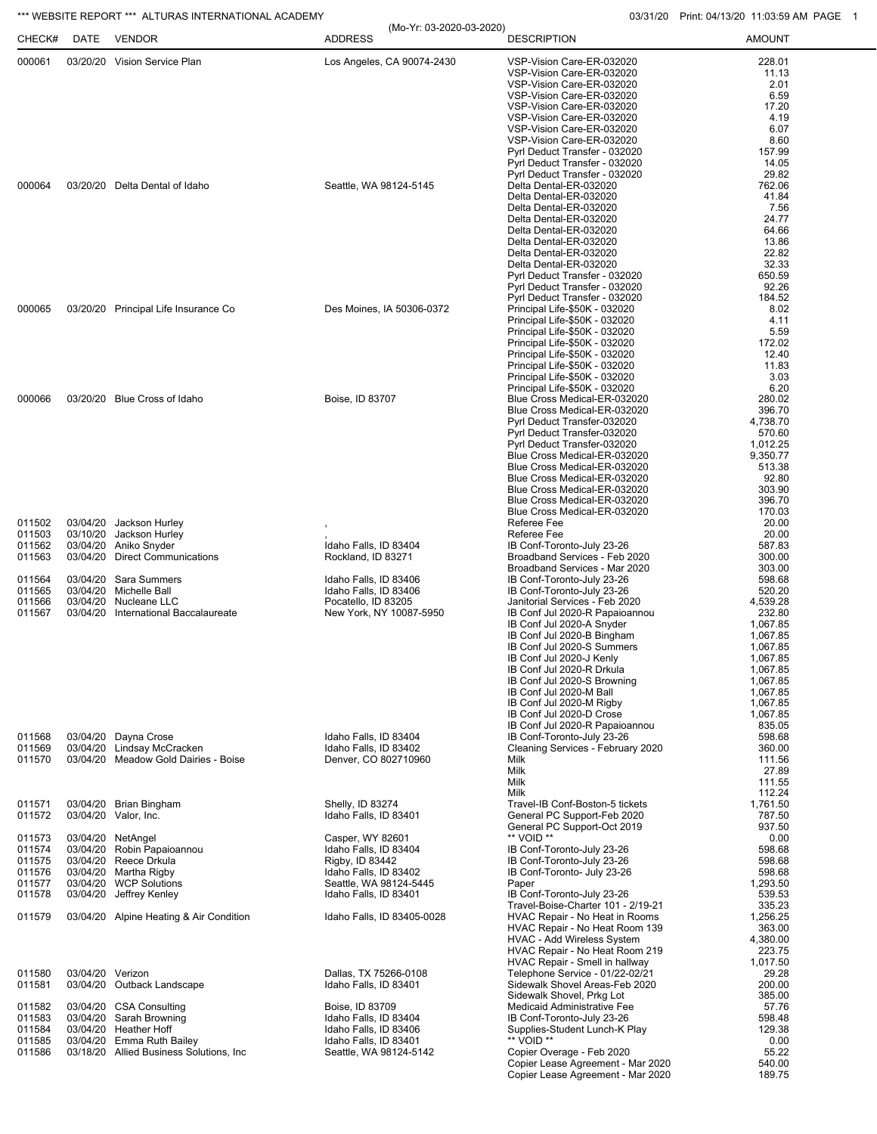## \*\*\* WEBSITE REPORT \*\*\* ALTURAS INTERNATIONAL ACADEMY 03/31/20 Print: 04/13/20 11:03:59 AM PAGE 1

| CHECK#           | DATE             | *** WEBSITE REPORT *** ALTURAS INTERNATIONAL ACADEMY<br><b>VENDOR</b> | (Mo-Yr: 03-2020-03-2020)<br><b>ADDRESS</b>     | <b>DESCRIPTION</b>                                                   | 03/31/20 Print: 04/13/20 11:03:59 AM PA<br><b>AMOUNT</b> |
|------------------|------------------|-----------------------------------------------------------------------|------------------------------------------------|----------------------------------------------------------------------|----------------------------------------------------------|
| 000061<br>000064 |                  | 03/20/20 Vision Service Plan                                          | Los Angeles, CA 90074-2430                     | VSP-Vision Care-ER-032020                                            | 228.01                                                   |
|                  |                  |                                                                       |                                                | VSP-Vision Care-ER-032020<br>VSP-Vision Care-ER-032020               | 11.13                                                    |
|                  |                  |                                                                       |                                                | VSP-Vision Care-ER-032020                                            | 2.01<br>6.59                                             |
|                  |                  |                                                                       |                                                | VSP-Vision Care-ER-032020                                            | 17.20                                                    |
|                  |                  |                                                                       |                                                | VSP-Vision Care-ER-032020                                            | 4.19                                                     |
|                  |                  |                                                                       |                                                | VSP-Vision Care-ER-032020<br>VSP-Vision Care-ER-032020               | 6.07<br>8.60                                             |
|                  |                  |                                                                       |                                                | Pyrl Deduct Transfer - 032020                                        | 157.99                                                   |
|                  |                  |                                                                       |                                                | Pyrl Deduct Transfer - 032020                                        | 14.05                                                    |
|                  |                  | 03/20/20 Delta Dental of Idaho                                        | Seattle, WA 98124-5145                         | Pyrl Deduct Transfer - 032020<br>Delta Dental-ER-032020              | 29.82<br>762.06                                          |
|                  |                  |                                                                       |                                                | Delta Dental-ER-032020                                               | 41.84                                                    |
|                  |                  |                                                                       |                                                | Delta Dental-ER-032020                                               | 7.56                                                     |
|                  |                  |                                                                       |                                                | Delta Dental-ER-032020                                               | 24.77                                                    |
|                  |                  |                                                                       |                                                | Delta Dental-ER-032020<br>Delta Dental-ER-032020                     | 64.66<br>13.86                                           |
|                  |                  |                                                                       |                                                | Delta Dental-ER-032020                                               | 22.82                                                    |
|                  |                  |                                                                       |                                                | Delta Dental-ER-032020                                               | 32.33                                                    |
|                  |                  |                                                                       |                                                | Pyrl Deduct Transfer - 032020                                        | 650.59<br>92.26                                          |
|                  |                  |                                                                       |                                                | Pyrl Deduct Transfer - 032020<br>Pyrl Deduct Transfer - 032020       | 184.52                                                   |
| 000065           |                  | 03/20/20 Principal Life Insurance Co                                  | Des Moines, IA 50306-0372                      | Principal Life-\$50K - 032020                                        | 8.02                                                     |
|                  |                  |                                                                       |                                                | Principal Life-\$50K - 032020                                        | 4.11                                                     |
|                  |                  |                                                                       |                                                | Principal Life-\$50K - 032020<br>Principal Life-\$50K - 032020       | 5.59<br>172.02                                           |
|                  |                  |                                                                       |                                                | Principal Life-\$50K - 032020                                        | 12.40                                                    |
|                  |                  |                                                                       |                                                | Principal Life-\$50K - 032020                                        | 11.83                                                    |
|                  |                  |                                                                       |                                                | Principal Life-\$50K - 032020                                        | 3.03                                                     |
| 000066           |                  | 03/20/20 Blue Cross of Idaho                                          | Boise, ID 83707                                | Principal Life-\$50K - 032020<br>Blue Cross Medical-ER-032020        | 6.20<br>280.02                                           |
|                  |                  |                                                                       |                                                | Blue Cross Medical-ER-032020                                         | 396.70                                                   |
|                  |                  |                                                                       |                                                | Pyrl Deduct Transfer-032020                                          | 4.738.70                                                 |
|                  |                  |                                                                       |                                                | Pyrl Deduct Transfer-032020                                          | 570.60                                                   |
|                  |                  |                                                                       |                                                | Pyrl Deduct Transfer-032020<br>Blue Cross Medical-ER-032020          | 1,012.25<br>9,350.77                                     |
|                  |                  |                                                                       |                                                | Blue Cross Medical-ER-032020                                         | 513.38                                                   |
|                  |                  |                                                                       |                                                | Blue Cross Medical-ER-032020                                         | 92.80                                                    |
|                  |                  |                                                                       |                                                | Blue Cross Medical-ER-032020                                         | 303.90                                                   |
|                  |                  |                                                                       |                                                | Blue Cross Medical-ER-032020<br>Blue Cross Medical-ER-032020         | 396.70<br>170.03                                         |
| 011502           |                  | 03/04/20 Jackson Hurley                                               |                                                | Referee Fee                                                          | 20.00                                                    |
| 011503           | 03/10/20         | Jackson Hurley                                                        |                                                | Referee Fee                                                          | 20.00                                                    |
| 011562<br>011563 |                  | 03/04/20 Aniko Snyder<br>03/04/20 Direct Communications               | Idaho Falls, ID 83404<br>Rockland, ID 83271    | IB Conf-Toronto-July 23-26<br>Broadband Services - Feb 2020          | 587.83<br>300.00                                         |
|                  |                  |                                                                       |                                                | Broadband Services - Mar 2020                                        | 303.00                                                   |
| 011564           | 03/04/20         | Sara Summers                                                          | Idaho Falls, ID 83406                          | IB Conf-Toronto-July 23-26                                           | 598.68                                                   |
| 011565           | 03/04/20         | Michelle Ball                                                         | Idaho Falls, ID 83406                          | IB Conf-Toronto-July 23-26                                           | 520.20                                                   |
| 011566<br>011567 |                  | 03/04/20 Nucleane LLC<br>03/04/20 International Baccalaureate         | Pocatello, ID 83205<br>New York, NY 10087-5950 | Janitorial Services - Feb 2020<br>IB Conf Jul 2020-R Papaioannou     | 4,539.28<br>232.80                                       |
|                  |                  |                                                                       |                                                | IB Conf Jul 2020-A Snyder                                            | 1,067.85                                                 |
|                  |                  |                                                                       |                                                | IB Conf Jul 2020-B Bingham                                           | 1,067.85                                                 |
|                  |                  |                                                                       |                                                | IB Conf Jul 2020-S Summers<br>IB Conf Jul 2020-J Kenly               | 1,067.85<br>1,067.85                                     |
|                  |                  |                                                                       |                                                | IB Conf Jul 2020-R Drkula                                            | 1,067.85                                                 |
|                  |                  |                                                                       |                                                | IB Conf Jul 2020-S Browning                                          | 1,067.85                                                 |
|                  |                  |                                                                       |                                                | IB Conf Jul 2020-M Ball                                              | 1,067.85                                                 |
|                  |                  |                                                                       |                                                | IB Conf Jul 2020-M Rigby<br>IB Conf Jul 2020-D Crose                 | 1,067.85<br>1,067.85                                     |
|                  |                  |                                                                       |                                                | IB Conf Jul 2020-R Papaioannou                                       | 835.05                                                   |
| 011568           |                  | 03/04/20 Dayna Crose                                                  | Idaho Falls, ID 83404                          | IB Conf-Toronto-July 23-26                                           | 598.68                                                   |
| 011569<br>011570 |                  | 03/04/20 Lindsay McCracken<br>03/04/20 Meadow Gold Dairies - Boise    | Idaho Falls, ID 83402<br>Denver, CO 802710960  | Cleaning Services - February 2020<br>Milk                            | 360.00<br>111.56                                         |
|                  |                  |                                                                       |                                                | Milk                                                                 | 27.89                                                    |
|                  |                  |                                                                       |                                                | Milk                                                                 | 111.55                                                   |
|                  |                  |                                                                       |                                                | Milk                                                                 | 112.24                                                   |
| 011571<br>011572 |                  | 03/04/20 Brian Bingham<br>03/04/20 Valor, Inc.                        | Shelly, ID 83274<br>Idaho Falls, ID 83401      | Travel-IB Conf-Boston-5 tickets<br>General PC Support-Feb 2020       | 1,761.50<br>787.50                                       |
|                  |                  |                                                                       |                                                | General PC Support-Oct 2019                                          | 937.50                                                   |
| 011573           |                  | 03/04/20 NetAngel                                                     | Casper, WY 82601                               | ** VOID **                                                           | 0.00                                                     |
| 011574<br>011575 |                  | 03/04/20 Robin Papaioannou<br>03/04/20 Reece Drkula                   | Idaho Falls, ID 83404                          | IB Conf-Toronto-July 23-26<br>IB Conf-Toronto-July 23-26             | 598.68<br>598.68                                         |
| 011576           |                  | 03/04/20 Martha Rigby                                                 | Rigby, ID 83442<br>Idaho Falls, ID 83402       | IB Conf-Toronto- July 23-26                                          | 598.68                                                   |
| 011577           |                  | 03/04/20 WCP Solutions                                                | Seattle, WA 98124-5445                         | Paper                                                                | 1,293.50                                                 |
| 011578           |                  | 03/04/20 Jeffrey Kenley                                               | Idaho Falls, ID 83401                          | IB Conf-Toronto-July 23-26                                           | 539.53                                                   |
| 011579           |                  | 03/04/20 Alpine Heating & Air Condition                               | Idaho Falls, ID 83405-0028                     | Travel-Boise-Charter 101 - 2/19-21<br>HVAC Repair - No Heat in Rooms | 335.23<br>1,256.25                                       |
|                  |                  |                                                                       |                                                | HVAC Repair - No Heat Room 139                                       | 363.00                                                   |
|                  |                  |                                                                       |                                                | <b>HVAC - Add Wireless System</b>                                    | 4,380.00                                                 |
|                  |                  |                                                                       |                                                | HVAC Repair - No Heat Room 219                                       | 223.75                                                   |
| 011580           | 03/04/20 Verizon |                                                                       | Dallas, TX 75266-0108                          | HVAC Repair - Smell in hallway<br>Telephone Service - 01/22-02/21    | 1,017.50<br>29.28                                        |
| 011581           |                  | 03/04/20 Outback Landscape                                            | Idaho Falls, ID 83401                          | Sidewalk Shovel Areas-Feb 2020                                       | 200.00                                                   |
|                  |                  |                                                                       |                                                | Sidewalk Shovel, Prkg Lot                                            | 385.00                                                   |
| 011582           |                  | 03/04/20 CSA Consulting                                               | Boise, ID 83709                                | Medicaid Administrative Fee                                          | 57.76                                                    |
| 011583<br>011584 |                  | 03/04/20 Sarah Browning<br>03/04/20 Heather Hoff                      | Idaho Falls, ID 83404<br>Idaho Falls, ID 83406 | IB Conf-Toronto-July 23-26<br>Supplies-Student Lunch-K Play          | 598.48<br>129.38                                         |
| 011585           |                  | 03/04/20 Emma Ruth Bailey                                             | Idaho Falls, ID 83401                          | ** VOID **                                                           | 0.00                                                     |
| 011586           |                  | 03/18/20 Allied Business Solutions, Inc                               | Seattle, WA 98124-5142                         | Copier Overage - Feb 2020                                            | 55.22                                                    |
|                  |                  |                                                                       |                                                | Copier Lease Agreement - Mar 2020                                    | 540.00                                                   |
|                  |                  |                                                                       |                                                | Copier Lease Agreement - Mar 2020                                    | 189.75                                                   |